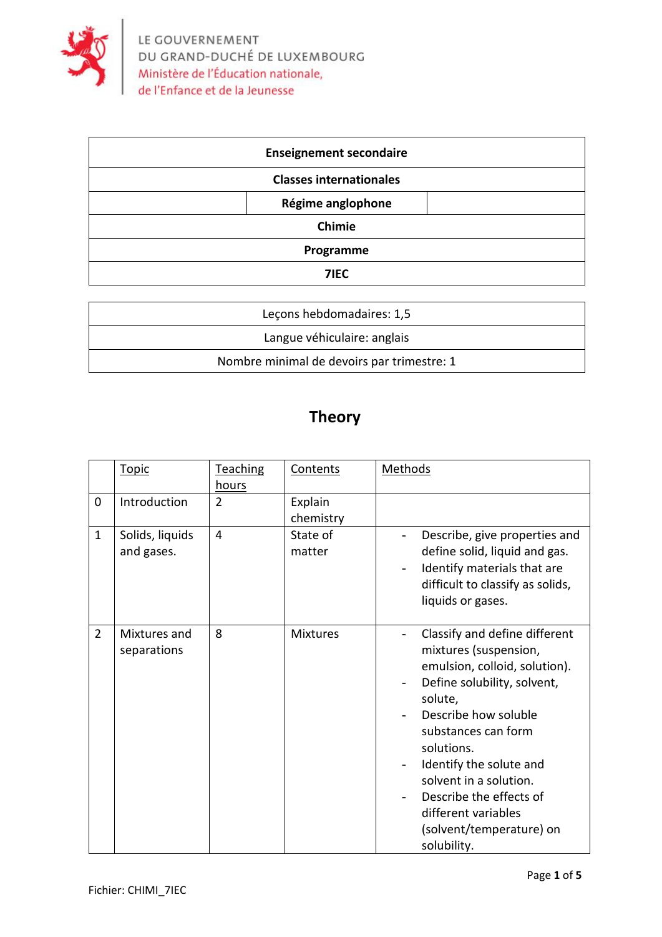

| <b>Enseignement secondaire</b> |  |  |  |  |  |
|--------------------------------|--|--|--|--|--|
| <b>Classes internationales</b> |  |  |  |  |  |
| Régime anglophone              |  |  |  |  |  |
| Chimie                         |  |  |  |  |  |
| Programme                      |  |  |  |  |  |
| 7IEC                           |  |  |  |  |  |

| Lecons hebdomadaires: 1,5                  |
|--------------------------------------------|
| Langue véhiculaire: anglais                |
| Nombre minimal de devoirs par trimestre: 1 |

## **Theory**

|                | <b>Topic</b>                  | <b>Teaching</b><br>hours | Contents             | <b>Methods</b>                                                                                                                                                                                                                                                                                                                                   |
|----------------|-------------------------------|--------------------------|----------------------|--------------------------------------------------------------------------------------------------------------------------------------------------------------------------------------------------------------------------------------------------------------------------------------------------------------------------------------------------|
| 0              | Introduction                  | $\overline{2}$           | Explain<br>chemistry |                                                                                                                                                                                                                                                                                                                                                  |
| $\mathbf{1}$   | Solids, liquids<br>and gases. | 4                        | State of<br>matter   | Describe, give properties and<br>define solid, liquid and gas.<br>Identify materials that are<br>difficult to classify as solids,<br>liquids or gases.                                                                                                                                                                                           |
| $\overline{2}$ | Mixtures and<br>separations   | 8                        | <b>Mixtures</b>      | Classify and define different<br>mixtures (suspension,<br>emulsion, colloid, solution).<br>Define solubility, solvent,<br>solute,<br>Describe how soluble<br>substances can form<br>solutions.<br>Identify the solute and<br>solvent in a solution.<br>Describe the effects of<br>different variables<br>(solvent/temperature) on<br>solubility. |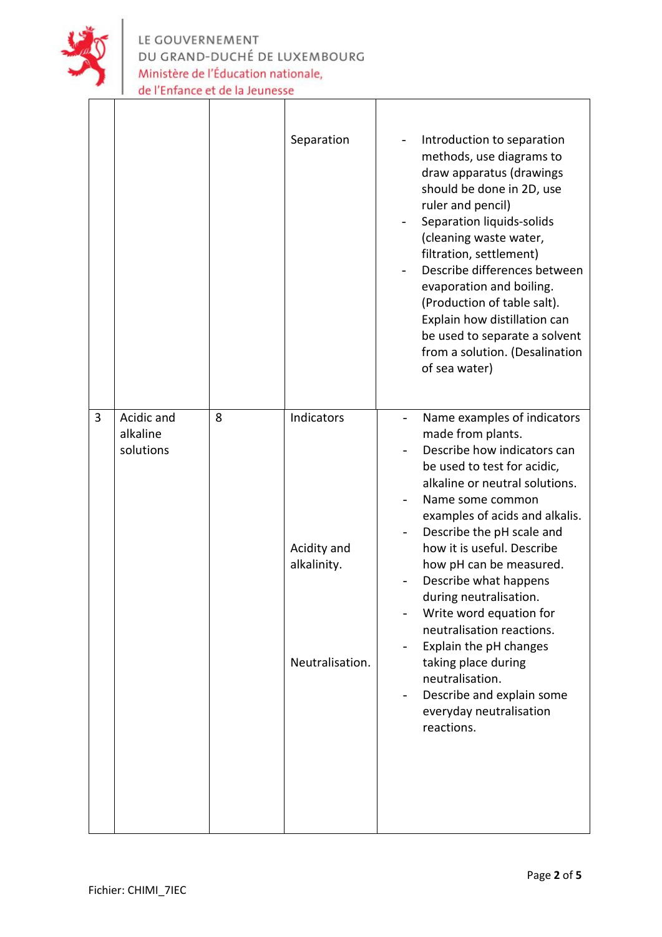

T

LE GOUVERNEMENT<br>DU GRAND-DUCHÉ DE LUXEMBOURG Ministère de l'Éducation nationale, de l'Enfance et de la Jeunesse

T

T

|   |                                     |   | Separation                                                  | Introduction to separation<br>methods, use diagrams to<br>draw apparatus (drawings<br>should be done in 2D, use<br>ruler and pencil)<br>Separation liquids-solids<br>(cleaning waste water,<br>filtration, settlement)<br>Describe differences between<br>evaporation and boiling.<br>(Production of table salt).<br>Explain how distillation can<br>be used to separate a solvent<br>from a solution. (Desalination<br>of sea water)                                                                                                                                  |
|---|-------------------------------------|---|-------------------------------------------------------------|------------------------------------------------------------------------------------------------------------------------------------------------------------------------------------------------------------------------------------------------------------------------------------------------------------------------------------------------------------------------------------------------------------------------------------------------------------------------------------------------------------------------------------------------------------------------|
| 3 | Acidic and<br>alkaline<br>solutions | 8 | Indicators<br>Acidity and<br>alkalinity.<br>Neutralisation. | Name examples of indicators<br>$\qquad \qquad -$<br>made from plants.<br>Describe how indicators can<br>be used to test for acidic,<br>alkaline or neutral solutions.<br>Name some common<br>examples of acids and alkalis.<br>Describe the pH scale and<br>how it is useful. Describe<br>how pH can be measured.<br>Describe what happens<br>during neutralisation.<br>Write word equation for<br>neutralisation reactions.<br>Explain the pH changes<br>taking place during<br>neutralisation.<br>Describe and explain some<br>everyday neutralisation<br>reactions. |

 $\top$ 

٦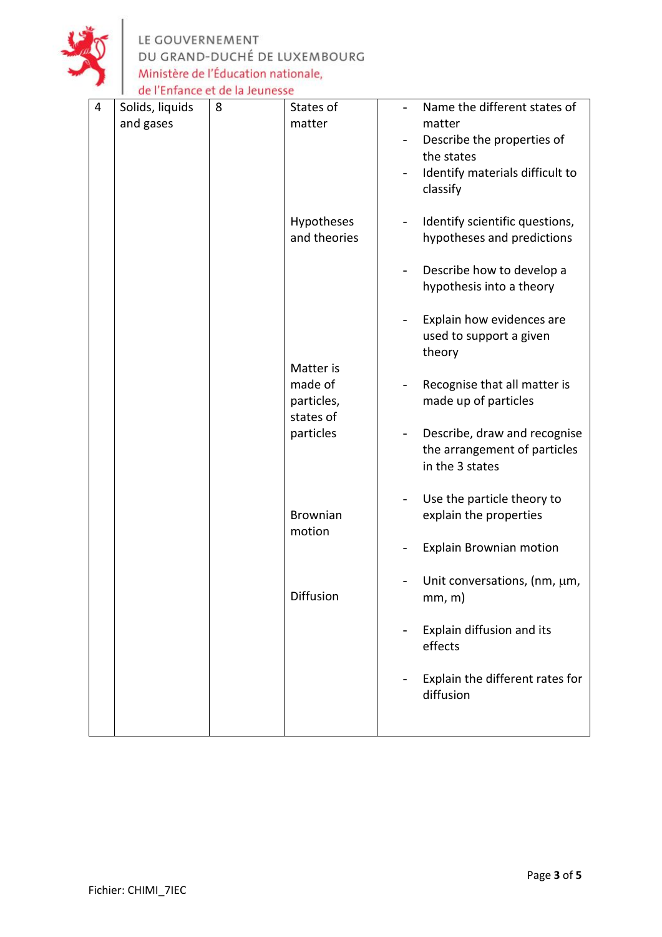

LE GOUVERNEMENT<br>DU GRAND-DUCHÉ DE LUXEMBOURG<br>Ministère de l'Éducation nationale, de l'Enfance et de la Jeunesse

| 4 | Solids, liquids<br>and gases | 8 | States of<br>matter                | Name the different states of<br>matter<br>Describe the properties of<br>the states<br>Identify materials difficult to<br>classify |
|---|------------------------------|---|------------------------------------|-----------------------------------------------------------------------------------------------------------------------------------|
|   |                              |   | Hypotheses<br>and theories         | Identify scientific questions,<br>hypotheses and predictions                                                                      |
|   |                              |   |                                    | Describe how to develop a<br>hypothesis into a theory                                                                             |
|   |                              |   | Matter is                          | Explain how evidences are<br>used to support a given<br>theory                                                                    |
|   |                              |   | made of<br>particles,<br>states of | Recognise that all matter is<br>made up of particles                                                                              |
|   |                              |   | particles                          | Describe, draw and recognise<br>the arrangement of particles<br>in the 3 states                                                   |
|   |                              |   | <b>Brownian</b><br>motion          | Use the particle theory to<br>explain the properties                                                                              |
|   |                              |   |                                    | <b>Explain Brownian motion</b>                                                                                                    |
|   |                              |   | Diffusion                          | Unit conversations, (nm, µm,<br>mm, m)                                                                                            |
|   |                              |   |                                    | Explain diffusion and its<br>effects                                                                                              |
|   |                              |   |                                    | Explain the different rates for<br>diffusion                                                                                      |
|   |                              |   |                                    |                                                                                                                                   |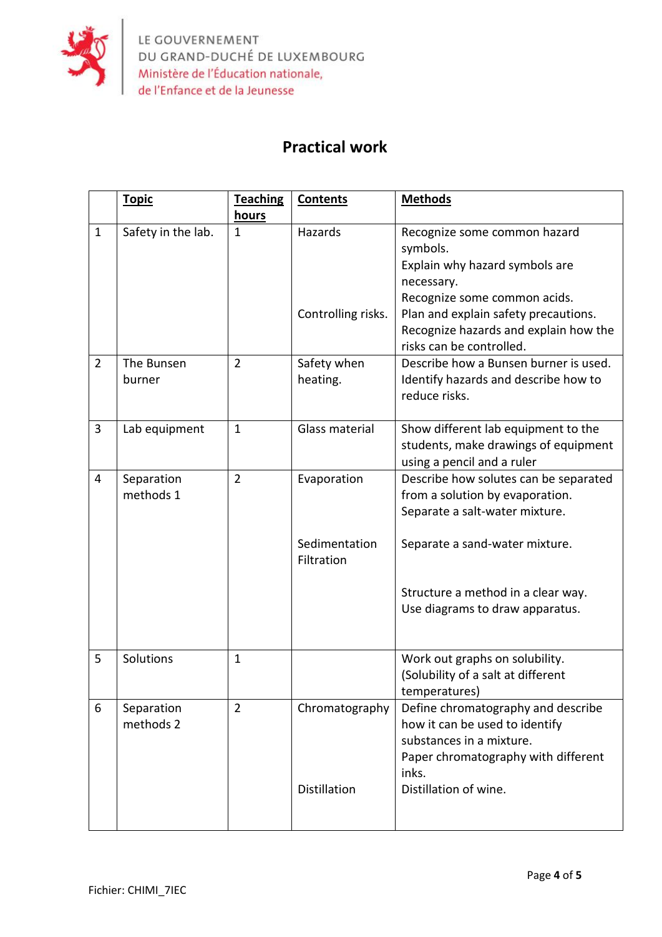

## **Practical work**

|                | <b>Topic</b>            | <b>Teaching</b><br><b>hours</b> | <b>Contents</b>                            | <b>Methods</b>                                                                                                                                                                                                                        |
|----------------|-------------------------|---------------------------------|--------------------------------------------|---------------------------------------------------------------------------------------------------------------------------------------------------------------------------------------------------------------------------------------|
| $\mathbf{1}$   | Safety in the lab.      | $\mathbf{1}$                    | Hazards<br>Controlling risks.              | Recognize some common hazard<br>symbols.<br>Explain why hazard symbols are<br>necessary.<br>Recognize some common acids.<br>Plan and explain safety precautions.<br>Recognize hazards and explain how the<br>risks can be controlled. |
| $\overline{2}$ | The Bunsen<br>burner    | $\overline{2}$                  | Safety when<br>heating.                    | Describe how a Bunsen burner is used.<br>Identify hazards and describe how to<br>reduce risks.                                                                                                                                        |
| 3              | Lab equipment           | $\mathbf{1}$                    | Glass material                             | Show different lab equipment to the<br>students, make drawings of equipment<br>using a pencil and a ruler                                                                                                                             |
| 4              | Separation<br>methods 1 | $\overline{2}$                  | Evaporation<br>Sedimentation<br>Filtration | Describe how solutes can be separated<br>from a solution by evaporation.<br>Separate a salt-water mixture.<br>Separate a sand-water mixture.<br>Structure a method in a clear way.<br>Use diagrams to draw apparatus.                 |
| 5              | Solutions               | $\mathbf{1}$                    |                                            | Work out graphs on solubility.<br>(Solubility of a salt at different<br>temperatures)                                                                                                                                                 |
| 6              | Separation<br>methods 2 | $\overline{2}$                  | Chromatography<br>Distillation             | Define chromatography and describe<br>how it can be used to identify<br>substances in a mixture.<br>Paper chromatography with different<br>inks.<br>Distillation of wine.                                                             |